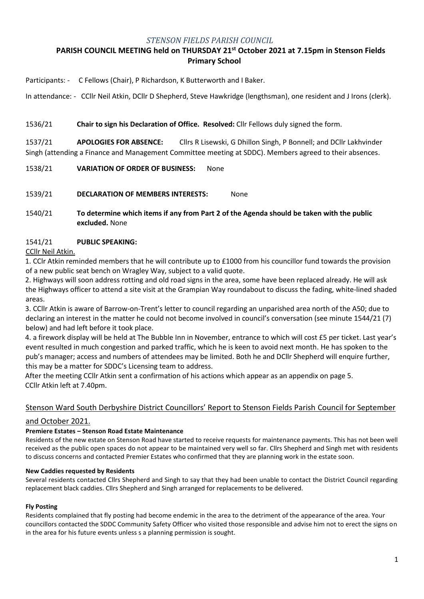### *STENSON FIELDS PARISH COUNCIL*

# **PARISH COUNCIL MEETING held on THURSDAY 21 st October 2021 at 7.15pm in Stenson Fields Primary School**

Participants: - C Fellows (Chair), P Richardson, K Butterworth and I Baker.

In attendance: - CCllr Neil Atkin, DCllr D Shepherd, Steve Hawkridge (lengthsman), one resident and J Irons (clerk).

### 1536/21 **Chair to sign his Declaration of Office. Resolved:** Cllr Fellows duly signed the form.

1537/21 **APOLOGIES FOR ABSENCE:** Cllrs R Lisewski, G Dhillon Singh, P Bonnell; and DCllr Lakhvinder Singh (attending a Finance and Management Committee meeting at SDDC). Members agreed to their absences.

1538/21 **VARIATION OF ORDER OF BUSINESS:** None

1539/21 **DECLARATION OF MEMBERS INTERESTS:** None

1540/21 **To determine which items if any from Part 2 of the Agenda should be taken with the public excluded.** None

### 1541/21 **PUBLIC SPEAKING:**

CCllr Neil Atkin.

1. CClr Atkin reminded members that he will contribute up to £1000 from his councillor fund towards the provision of a new public seat bench on Wragley Way, subject to a valid quote.

2. Highways will soon address rotting and old road signs in the area, some have been replaced already. He will ask the Highways officer to attend a site visit at the Grampian Way roundabout to discuss the fading, white-lined shaded areas.

3. CCllr Atkin is aware of Barrow-on-Trent's letter to council regarding an unparished area north of the A50; due to declaring an interest in the matter he could not become involved in council's conversation (see minute 1544/21 (7) below) and had left before it took place.

4. a firework display will be held at The Bubble Inn in November, entrance to which will cost £5 per ticket. Last year's event resulted in much congestion and parked traffic, which he is keen to avoid next month. He has spoken to the pub's manager; access and numbers of attendees may be limited. Both he and DCllr Shepherd will enquire further, this may be a matter for SDDC's Licensing team to address.

After the meeting CCllr Atkin sent a confirmation of his actions which appear as an appendix on page 5. CCllr Atkin left at 7.40pm.

## Stenson Ward South Derbyshire District Councillors' Report to Stenson Fields Parish Council for September

### and October 2021.

### **Premiere Estates – Stenson Road Estate Maintenance**

Residents of the new estate on Stenson Road have started to receive requests for maintenance payments. This has not been well received as the public open spaces do not appear to be maintained very well so far. Cllrs Shepherd and Singh met with residents to discuss concerns and contacted Premier Estates who confirmed that they are planning work in the estate soon.

### **New Caddies requested by Residents**

Several residents contacted Cllrs Shepherd and Singh to say that they had been unable to contact the District Council regarding replacement black caddies. Cllrs Shepherd and Singh arranged for replacements to be delivered.

### **Fly Posting**

Residents complained that fly posting had become endemic in the area to the detriment of the appearance of the area. Your councillors contacted the SDDC Community Safety Officer who visited those responsible and advise him not to erect the signs on in the area for his future events unless s a planning permission is sought.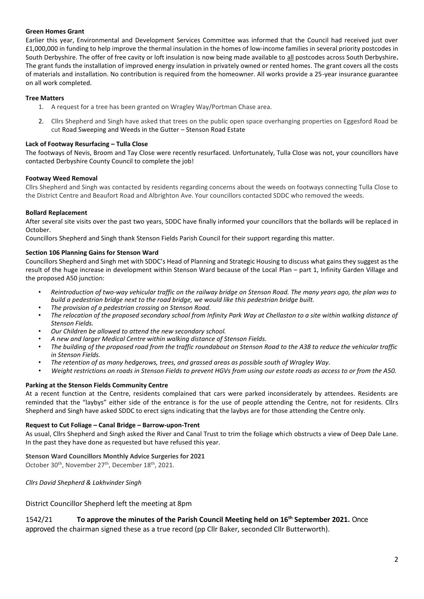#### **Green Homes Grant**

Earlier this year, Environmental and Development Services Committee was informed that the Council had received just over £1,000,000 in funding to help improve the thermal insulation in the homes of low-income families in several priority postcodes in South Derbyshire. The offer of free cavity or loft insulation is now being made available to all postcodes across South Derbyshire**.**  The grant funds the installation of improved energy insulation in privately owned or rented homes. The grant covers all the costs of materials and installation. No contribution is required from the homeowner. All works provide a 25-year insurance guarantee on all work completed.

#### **Tree Matters**

- 1. A request for a tree has been granted on Wragley Way/Portman Chase area.
- 2. Cllrs Shepherd and Singh have asked that trees on the public open space overhanging properties on Eggesford Road be cut Road Sweeping and Weeds in the Gutter – Stenson Road Estate

#### **Lack of Footway Resurfacing – Tulla Close**

The footways of Nevis, Broom and Tay Close were recently resurfaced. Unfortunately, Tulla Close was not, your councillors have contacted Derbyshire County Council to complete the job!

#### **Footway Weed Removal**

Cllrs Shepherd and Singh was contacted by residents regarding concerns about the weeds on footways connecting Tulla Close to the District Centre and Beaufort Road and Albrighton Ave. Your councillors contacted SDDC who removed the weeds.

#### **Bollard Replacement**

After several site visits over the past two years, SDDC have finally informed your councillors that the bollards will be replaced in October.

Councillors Shepherd and Singh thank Stenson Fields Parish Council for their support regarding this matter.

#### **Section 106 Planning Gains for Stenson Ward**

Councillors Shepherd and Singh met with SDDC's Head of Planning and Strategic Housing to discuss what gains they suggest as the result of the huge increase in development within Stenson Ward because of the Local Plan – part 1, Infinity Garden Village and the proposed A50 junction:

- *Reintroduction of two-way vehicular traffic on the railway bridge on Stenson Road. The many years ago, the plan was to build a pedestrian bridge next to the road bridge, we would like this pedestrian bridge built.*
- *The provision of a pedestrian crossing on Stenson Road.*
- *The relocation of the proposed secondary school from Infinity Park Way at Chellaston to a site within walking distance of Stenson Fields.*
- *Our Children be allowed to attend the new secondary school.*
- *A new and larger Medical Centre within walking distance of Stenson Fields.*
- *The building of the proposed road from the traffic roundabout on Stenson Road to the A38 to reduce the vehicular traffic in Stenson Fields.*
- *The retention of as many hedgerows, trees, and grassed areas as possible south of Wragley Way.*
- *Weight restrictions on roads in Stenson Fields to prevent HGVs from using our estate roads as access to or from the A50.*

### **Parking at the Stenson Fields Community Centre**

At a recent function at the Centre, residents complained that cars were parked inconsiderately by attendees. Residents are reminded that the "laybys" either side of the entrance is for the use of people attending the Centre, not for residents. Cllrs Shepherd and Singh have asked SDDC to erect signs indicating that the laybys are for those attending the Centre only.

#### **Request to Cut Foliage – Canal Bridge – Barrow-upon-Trent**

As usual, Cllrs Shepherd and Singh asked the River and Canal Trust to trim the foliage which obstructs a view of Deep Dale Lane. In the past they have done as requested but have refused this year.

### **Stenson Ward Councillors Monthly Advice Surgeries for 2021**

October 30<sup>th</sup>, November 27<sup>th</sup>, December 18<sup>th</sup>, 2021.

*Cllrs David Shepherd & Lakhvinder Singh*

District Councillor Shepherd left the meeting at 8pm

1542/21 **To approve the minutes of the Parish Council Meeting held on 16th September 2021.** Once approved the chairman signed these as a true record (pp Cllr Baker, seconded Cllr Butterworth).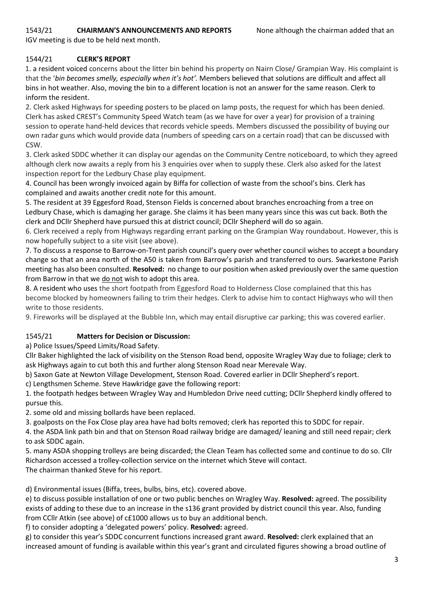# 1543/21 **CHAIRMAN'S ANNOUNCEMENTS AND REPORTS** None although the chairman added that an

IGV meeting is due to be held next month.

## 1544/21 **CLERK'S REPORT**

1. a resident voiced concerns about the litter bin behind his property on Nairn Close/ Grampian Way. His complaint is that the '*bin becomes smelly, especially when it's hot'.* Members believed that solutions are difficult and affect all bins in hot weather. Also, moving the bin to a different location is not an answer for the same reason. Clerk to inform the resident.

2. Clerk asked Highways for speeding posters to be placed on lamp posts, the request for which has been denied. Clerk has asked CREST's Community Speed Watch team (as we have for over a year) for provision of a training session to operate hand-held devices that records vehicle speeds. Members discussed the possibility of buying our own radar guns which would provide data (numbers of speeding cars on a certain road) that can be discussed with CSW.

3. Clerk asked SDDC whether it can display our agendas on the Community Centre noticeboard, to which they agreed although clerk now awaits a reply from his 3 enquiries over when to supply these. Clerk also asked for the latest inspection report for the Ledbury Chase play equipment.

4. Council has been wrongly invoiced again by Biffa for collection of waste from the school's bins. Clerk has complained and awaits another credit note for this amount.

5. The resident at 39 Eggesford Road, Stenson Fields is concerned about branches encroaching from a tree on Ledbury Chase, which is damaging her garage. She claims it has been many years since this was cut back. Both the clerk and DCllr Shepherd have pursued this at district council; DCllr Shepherd will do so again.

6. Clerk received a reply from Highways regarding errant parking on the Grampian Way roundabout. However, this is now hopefully subject to a site visit (see above).

7. To discuss a response to Barrow-on-Trent parish council's query over whether council wishes to accept a boundary change so that an area north of the A50 is taken from Barrow's parish and transferred to ours. Swarkestone Parish meeting has also been consulted. **Resolved:** no change to our position when asked previously over the same question from Barrow in that we do not wish to adopt this area.

8. A resident who uses the short footpath from Eggesford Road to Holderness Close complained that this has become blocked by homeowners failing to trim their hedges. Clerk to advise him to contact Highways who will then write to those residents.

9. Fireworks will be displayed at the Bubble Inn, which may entail disruptive car parking; this was covered earlier.

## 1545/21 **Matters for Decision or Discussion:**

a) Police Issues/Speed Limits/Road Safety.

Cllr Baker highlighted the lack of visibility on the Stenson Road bend, opposite Wragley Way due to foliage; clerk to ask Highways again to cut both this and further along Stenson Road near Merevale Way.

b) Saxon Gate at Newton Village Development, Stenson Road. Covered earlier in DCllr Shepherd's report.

c) Lengthsmen Scheme. Steve Hawkridge gave the following report:

1. the footpath hedges between Wragley Way and Humbledon Drive need cutting; DCllr Shepherd kindly offered to pursue this.

2. some old and missing bollards have been replaced.

3. goalposts on the Fox Close play area have had bolts removed; clerk has reported this to SDDC for repair.

4. the ASDA link path bin and that on Stenson Road railway bridge are damaged/ leaning and still need repair; clerk to ask SDDC again.

5. many ASDA shopping trolleys are being discarded; the Clean Team has collected some and continue to do so. Cllr Richardson accessed a trolley-collection service on the internet which Steve will contact. The chairman thanked Steve for his report.

d) Environmental issues (Biffa, trees, bulbs, bins, etc). covered above.

e) to discuss possible installation of one or two public benches on Wragley Way. **Resolved:** agreed. The possibility exists of adding to these due to an increase in the s136 grant provided by district council this year. Also, funding from CCllr Atkin (see above) of c£1000 allows us to buy an additional bench.

f) to consider adopting a 'delegated powers' policy. **Resolved:** agreed.

g) to consider this year's SDDC concurrent functions increased grant award. **Resolved:** clerk explained that an increased amount of funding is available within this year's grant and circulated figures showing a broad outline of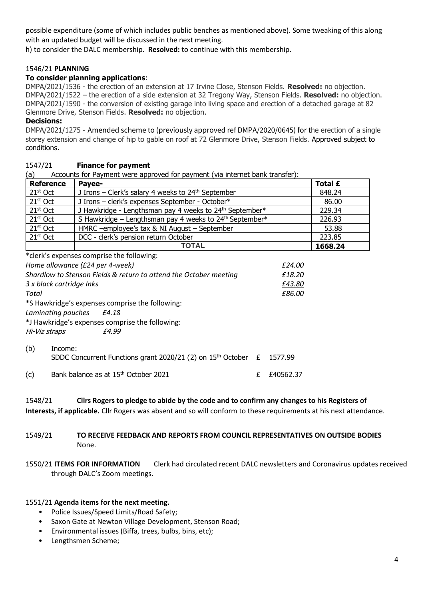possible expenditure (some of which includes public benches as mentioned above). Some tweaking of this along with an updated budget will be discussed in the next meeting.

h) to consider the DALC membership. **Resolved:** to continue with this membership.

### 1546/21 **PLANNING**

### **To consider planning applications**:

DMPA/2021/1536 - the erection of an extension at 17 Irvine Close, Stenson Fields. **Resolved:** no objection. DMPA/2021/1522 – the erection of a side extension at 32 Tregony Way, Stenson Fields. **Resolved:** no objection. DMPA/2021/1590 - the conversion of existing garage into living space and erection of a detached garage at 82 Glenmore Drive, Stenson Fields. **Resolved:** no objection.

### **Decisions:**

DMPA/2021/1275 - Amended scheme to (previously approved ref DMPA/2020/0645) for the erection of a single storey extension and change of hip to gable on roof at 72 Glenmore Drive, Stenson Fields. Approved subject to conditions.

### 1547/21 **Finance for payment**

(a) Accounts for Payment were approved for payment (via internet bank transfer):

| <b>Reference</b> | Pavee-                                                              | Total £ |
|------------------|---------------------------------------------------------------------|---------|
| $21st$ Oct       | J Irons – Clerk's salary 4 weeks to $24th$ September                | 848.24  |
| $21st$ Oct       | J Irons - clerk's expenses September - October*                     | 86.00   |
| $21st$ Oct       | J Hawkridge - Lengthsman pay 4 weeks to 24 <sup>th</sup> September* | 229.34  |
| $21st$ Oct       | S Hawkridge - Lengthsman pay 4 weeks to 24 <sup>th</sup> September* | 226.93  |
| $21st$ Oct       | HMRC -employee's tax & NI August - September                        | 53.88   |
| $21st$ Oct       | DCC - clerk's pension return October                                | 223.85  |
|                  | <b>TOTAL</b>                                                        | 1668.24 |

\*clerk's expenses comprise the following:

| Home allowance (£24 per 4-week)                                   |                                                                     |  | £24.00    |
|-------------------------------------------------------------------|---------------------------------------------------------------------|--|-----------|
| Shardlow to Stenson Fields & return to attend the October meeting |                                                                     |  | £18.20    |
| 3 x black cartridge Inks                                          |                                                                     |  | £43.80    |
| Total                                                             |                                                                     |  | £86.00    |
|                                                                   | *S Hawkridge's expenses comprise the following:                     |  |           |
|                                                                   | Laminating pouches £4.18                                            |  |           |
|                                                                   | *J Hawkridge's expenses comprise the following:                     |  |           |
| Hi-Viz straps                                                     | £4.99                                                               |  |           |
| (b)                                                               | Income:                                                             |  |           |
|                                                                   | SDDC Concurrent Functions grant 2020/21 (2) on $15th$ October $\pm$ |  | 1577.99   |
| (c)                                                               | Bank balance as at 15 <sup>th</sup> October 2021                    |  | £40562.37 |

| 1548/21 | Cllrs Rogers to pledge to abide by the code and to confirm any changes to his Registers of |
|---------|--------------------------------------------------------------------------------------------|
|---------|--------------------------------------------------------------------------------------------|

**Interests, if applicable.** Cllr Rogers was absent and so will conform to these requirements at his next attendance.

### 1549/21 **TO RECEIVE FEEDBACK AND REPORTS FROM COUNCIL REPRESENTATIVES ON OUTSIDE BODIES**  None.

1550/21 **ITEMS FOR INFORMATION** Clerk had circulated recent DALC newsletters and Coronavirus updates received through DALC's Zoom meetings.

### 1551/21 **Agenda items for the next meeting.**

- Police Issues/Speed Limits/Road Safety;
- Saxon Gate at Newton Village Development, Stenson Road;
- Environmental issues (Biffa, trees, bulbs, bins, etc);
- Lengthsmen Scheme;